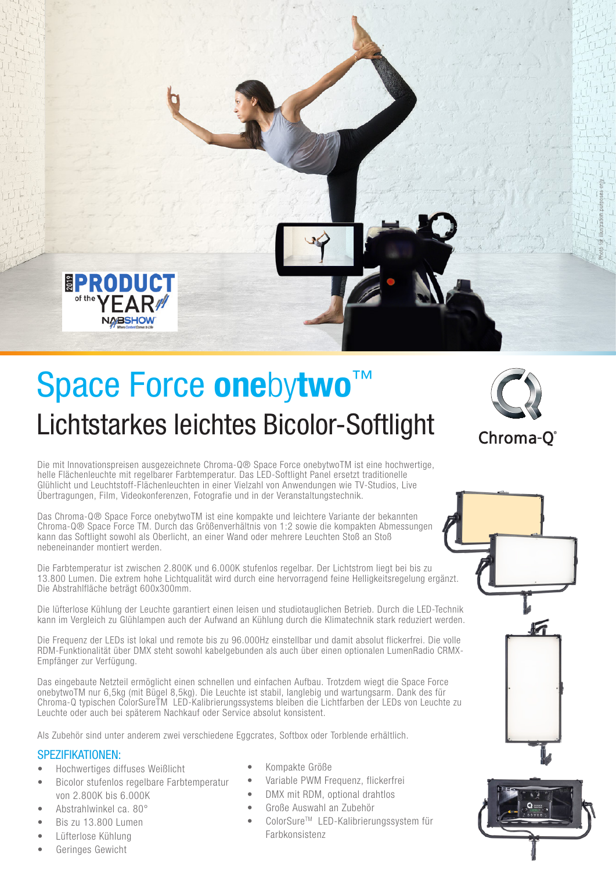

# Lichtstarkes leichtes Bicolor-Softlight Space Force onebytwo™



Die mit Innovationspreisen ausgezeichnete Chroma-Q® Space Force onebytwoTM ist eine hochwertige, helle Flächenleuchte mit regelbarer Farbtemperatur. Das LED-Softlight Panel ersetzt traditionelle Glühlicht und Leuchtstoff-Flächenleuchten in einer Vielzahl von Anwendungen wie TV-Studios, Live Übertragungen, Film, Videokonferenzen, Fotografie und in der Veranstaltungstechnik.

Das Chroma-Q® Space Force onebytwoTM ist eine kompakte und leichtere Variante der bekannten Chroma-Q® Space Force TM. Durch das Größenverhältnis von 1:2 sowie die kompakten Abmessungen kann das Softlight sowohl als Oberlicht, an einer Wand oder mehrere Leuchten Stoß an Stoß nebeneinander montiert werden.

Die Farbtemperatur ist zwischen 2.800K und 6.000K stufenlos regelbar. Der Lichtstrom liegt bei bis zu 13.800 Lumen. Die extrem hohe Lichtqualität wird durch eine hervorragend feine Helligkeitsregelung ergänzt. Die Abstrahlfläche beträgt 600x300mm.

Die lüfterlose Kühlung der Leuchte garantiert einen leisen und studiotauglichen Betrieb. Durch die LED-Technik kann im Vergleich zu Glühlampen auch der Aufwand an Kühlung durch die Klimatechnik stark reduziert werden.

Die Frequenz der LEDs ist lokal und remote bis zu 96.000Hz einstellbar und damit absolut flickerfrei. Die volle RDM-Funktionalität über DMX steht sowohl kabelgebunden als auch über einen optionalen LumenRadio CRMX-Empfänger zur Verfügung.

Das eingebaute Netzteil ermöglicht einen schnellen und einfachen Aufbau. Trotzdem wiegt die Space Force onebytwoTM nur 6,5kg (mit Bügel 8,5kg). Die Leuchte ist stabil, langlebig und wartungsarm. Dank des für Chroma-Q typischen ColorSureTM LED-Kalibrierungssystems bleiben die Lichtfarben der LEDs von Leuchte zu Leuchte oder auch bei späterem Nachkauf oder Service absolut konsistent.

Als Zubehör sind unter anderem zwei verschiedene Eggcrates, Softbox oder Torblende erhältlich.

### SPEZIFIKATIONEN:

- Hochwertiges diffuses Weißlicht
- Bicolor stufenlos regelbare Farbtemperatur von 2.800K bis 6.000K
- Abstrahlwinkel ca. 80°
- Bis zu 13.800 Lumen
- Lüfterlose Kühlung
- Geringes Gewicht
- Kompakte Größe
- Variable PWM Frequenz, flickerfrei
- DMX mit RDM, optional drahtlos
- Große Auswahl an Zubehör
- ColorSureTM LED-Kalibrierungssystem für Farbkonsistenz
-